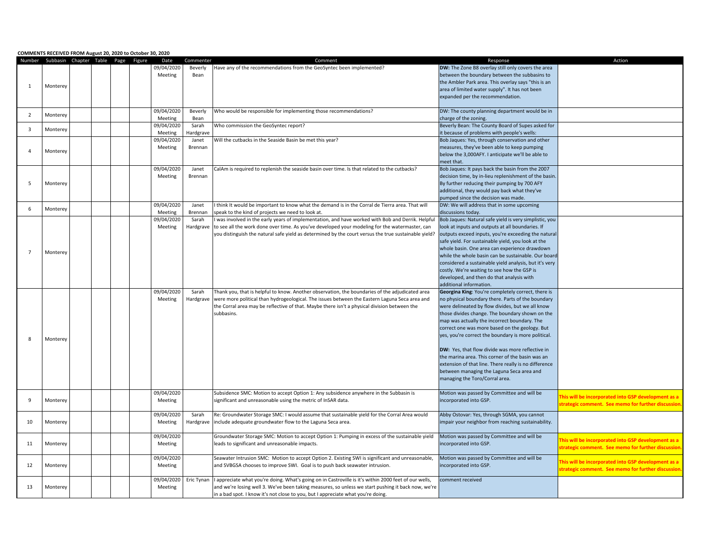|                | COMMENTS RECEIVED FROM August 20, 2020 to October 30, 2020 |  |  |            |                  |                                                                                                      |                                                        |                                                           |
|----------------|------------------------------------------------------------|--|--|------------|------------------|------------------------------------------------------------------------------------------------------|--------------------------------------------------------|-----------------------------------------------------------|
|                | Number Subbasin Chapter Table Page Figure                  |  |  | Date       | Commenter        | Comment                                                                                              | Response                                               | Action                                                    |
|                |                                                            |  |  | 09/04/2020 | Beverly          | Have any of the recommendations from the GeoSyntec been implemented?                                 | DW: The Zone B8 overlay still only covers the area     |                                                           |
|                |                                                            |  |  | Meeting    | Bean             |                                                                                                      | between the boundary between the subbasins to          |                                                           |
|                |                                                            |  |  |            |                  |                                                                                                      |                                                        |                                                           |
| 1              | Monterey                                                   |  |  |            |                  |                                                                                                      | the Ambler Park area. This overlay says "this is an    |                                                           |
|                |                                                            |  |  |            |                  |                                                                                                      | area of limited water supply". It has not been         |                                                           |
|                |                                                            |  |  |            |                  |                                                                                                      | expanded per the recommendation.                       |                                                           |
|                |                                                            |  |  |            |                  |                                                                                                      |                                                        |                                                           |
|                |                                                            |  |  | 09/04/2020 | Beverly          | Who would be responsible for implementing those recommendations?                                     | DW: The county planning department would be in         |                                                           |
| $\overline{2}$ | Monterey                                                   |  |  |            |                  |                                                                                                      |                                                        |                                                           |
|                |                                                            |  |  | Meeting    | Bean             |                                                                                                      | charge of the zoning.                                  |                                                           |
| 3              | Monterey                                                   |  |  | 09/04/2020 | Sarah            | Who commission the GeoSyntec report?                                                                 | Beverly Bean: The County Board of Supes asked for      |                                                           |
|                |                                                            |  |  | Meeting    | <b>Hardgrave</b> |                                                                                                      | it because of problems with people's wells:            |                                                           |
|                |                                                            |  |  | 09/04/2020 | Janet            | Will the cutbacks in the Seaside Basin be met this year?                                             | Bob Jaques: Yes, through conservation and other        |                                                           |
|                |                                                            |  |  | Meeting    | Brennan          |                                                                                                      | measures, they've been able to keep pumping            |                                                           |
| 4              | Monterey                                                   |  |  |            |                  |                                                                                                      | below the 3,000AFY. I anticipate we'll be able to      |                                                           |
|                |                                                            |  |  |            |                  |                                                                                                      |                                                        |                                                           |
|                |                                                            |  |  |            |                  |                                                                                                      | meet that.                                             |                                                           |
|                |                                                            |  |  | 09/04/2020 | Janet            | CalAm is required to replenish the seaside basin over time. Is that related to the cutbacks?         | Bob Jaques: It pays back the basin from the 2007       |                                                           |
|                |                                                            |  |  | Meeting    | Brennan          |                                                                                                      | decision time, by in-lieu replenishment of the basin.  |                                                           |
| 5              | Monterey                                                   |  |  |            |                  |                                                                                                      | By further reducing their pumping by 700 AFY           |                                                           |
|                |                                                            |  |  |            |                  |                                                                                                      | additional, they would pay back what they've           |                                                           |
|                |                                                            |  |  |            |                  |                                                                                                      | pumped since the decision was made.                    |                                                           |
|                |                                                            |  |  |            |                  |                                                                                                      |                                                        |                                                           |
| 6              | Monterey                                                   |  |  | 09/04/2020 | Janet            | think It would be important to know what the demand is in the Corral de Tierra area. That will       | DW: We will address that in some upcoming              |                                                           |
|                |                                                            |  |  | Meeting    | Brennan          | peak to the kind of projects we need to look at.                                                     | discussions today.                                     |                                                           |
|                |                                                            |  |  | 09/04/2020 | Sarah            | was involved in the early years of implementation, and have worked with Bob and Derrik. Helpful      | Bob Jaques: Natural safe yield is very simplistic, you |                                                           |
|                |                                                            |  |  | Meeting    | Hardgrave        | to see all the work done over time. As you've developed your modeling for the watermaster, can       | look at inputs and outputs at all boundaries. If       |                                                           |
|                |                                                            |  |  |            |                  | you distinguish the natural safe yield as determined by the court versus the true sustainable yield? | outputs exceed inputs, you're exceeding the natural    |                                                           |
|                |                                                            |  |  |            |                  |                                                                                                      |                                                        |                                                           |
|                |                                                            |  |  |            |                  |                                                                                                      | safe yield. For sustainable yield, you look at the     |                                                           |
| $\overline{7}$ | Monterey                                                   |  |  |            |                  |                                                                                                      | whole basin. One area can experience drawdown          |                                                           |
|                |                                                            |  |  |            |                  |                                                                                                      | while the whole basin can be sustainable. Our board    |                                                           |
|                |                                                            |  |  |            |                  |                                                                                                      | considered a sustainable yield analysis, but it's very |                                                           |
|                |                                                            |  |  |            |                  |                                                                                                      | costly. We're waiting to see how the GSP is            |                                                           |
|                |                                                            |  |  |            |                  |                                                                                                      | developed, and then do that analysis with              |                                                           |
|                |                                                            |  |  |            |                  |                                                                                                      |                                                        |                                                           |
|                |                                                            |  |  |            |                  |                                                                                                      | additional information.                                |                                                           |
|                |                                                            |  |  | 09/04/2020 | Sarah            | Thank you, that is helpful to know. Another observation, the boundaries of the adjudicated area      | Georgina King: You're completely correct, there is     |                                                           |
|                |                                                            |  |  | Meeting    | Hardgrave        | were more political than hydrogeological. The issues between the Eastern Laguna Seca area and        | no physical boundary there. Parts of the boundary      |                                                           |
|                |                                                            |  |  |            |                  | the Corral area may be reflective of that. Maybe there isn't a physical division between the         | were delineated by flow divides, but we all know       |                                                           |
|                |                                                            |  |  |            |                  | subbasins.                                                                                           | those divides change. The boundary shown on the        |                                                           |
|                |                                                            |  |  |            |                  |                                                                                                      | map was actually the incorrect boundary. The           |                                                           |
|                |                                                            |  |  |            |                  |                                                                                                      |                                                        |                                                           |
|                |                                                            |  |  |            |                  |                                                                                                      | correct one was more based on the geology. But         |                                                           |
| 8              | Monterey                                                   |  |  |            |                  |                                                                                                      | yes, you're correct the boundary is more political.    |                                                           |
|                |                                                            |  |  |            |                  |                                                                                                      |                                                        |                                                           |
|                |                                                            |  |  |            |                  |                                                                                                      | DW: Yes, that flow divide was more reflective in       |                                                           |
|                |                                                            |  |  |            |                  |                                                                                                      | the marina area. This corner of the basin was an       |                                                           |
|                |                                                            |  |  |            |                  |                                                                                                      |                                                        |                                                           |
|                |                                                            |  |  |            |                  |                                                                                                      | extension of that line. There really is no difference  |                                                           |
|                |                                                            |  |  |            |                  |                                                                                                      | between managing the Laguna Seca area and              |                                                           |
|                |                                                            |  |  |            |                  |                                                                                                      | managing the Toro/Corral area.                         |                                                           |
|                |                                                            |  |  |            |                  |                                                                                                      |                                                        |                                                           |
|                |                                                            |  |  | 09/04/2020 |                  | Subsidence SMC: Motion to accept Option 1: Any subsidence anywhere in the Subbasin is                | Motion was passed by Committee and will be             |                                                           |
| 9              | Monterey                                                   |  |  | Meeting    |                  | significant and unreasonable using the metric of InSAR data.                                         | incorporated into GSP.                                 | his will be incorporated into GSP development as a        |
|                |                                                            |  |  |            |                  |                                                                                                      |                                                        | <b>strategic comment. See memo for further discussion</b> |
|                |                                                            |  |  |            |                  |                                                                                                      |                                                        |                                                           |
|                |                                                            |  |  | 09/04/2020 | Sarah            | Re: Groundwater Storage SMC: I would assume that sustainable yield for the Corral Area would         | Abby Ostovar: Yes, through SGMA, you cannot            |                                                           |
| 10             | Monterey                                                   |  |  | Meeting    | Hardgrave        | include adequate groundwater flow to the Laguna Seca area.                                           | impair your neighbor from reaching sustainability.     |                                                           |
|                |                                                            |  |  |            |                  |                                                                                                      |                                                        |                                                           |
|                |                                                            |  |  | 09/04/2020 |                  | Groundwater Storage SMC: Motion to accept Option 1: Pumping in excess of the sustainable yield       | Motion was passed by Committee and will be             |                                                           |
| 11             | Monterey                                                   |  |  | Meeting    |                  | leads to significant and unreasonable impacts.                                                       | incorporated into GSP.                                 | his will be incorporated into GSP development as a        |
|                |                                                            |  |  |            |                  |                                                                                                      |                                                        | strategic comment. See memo for further discussion        |
|                |                                                            |  |  |            |                  |                                                                                                      |                                                        |                                                           |
|                |                                                            |  |  | 09/04/2020 |                  | Seawater Intrusion SMC: Motion to accept Option 2. Existing SWI is significant and unreasonable,     | Motion was passed by Committee and will be             | his will be incorporated into GSP development as a        |
| 12             | Monterey                                                   |  |  | Meeting    |                  | and SVBGSA chooses to improve SWI. Goal is to push back seawater intrusion.                          | incorporated into GSP.                                 |                                                           |
|                |                                                            |  |  |            |                  |                                                                                                      |                                                        | trategic comment. See memo for further discussior         |
|                |                                                            |  |  | 09/04/2020 | Eric Tynan       | appreciate what you're doing. What's going on in Castroville is it's within 2000 feet of our wells,  | comment received                                       |                                                           |
| 13             | Monterey                                                   |  |  | Meeting    |                  | and we're losing well 3. We've been taking measures, so unless we start pushing it back now, we're   |                                                        |                                                           |
|                |                                                            |  |  |            |                  |                                                                                                      |                                                        |                                                           |
|                |                                                            |  |  |            |                  | in a bad spot. I know it's not close to you, but I appreciate what you're doing.                     |                                                        |                                                           |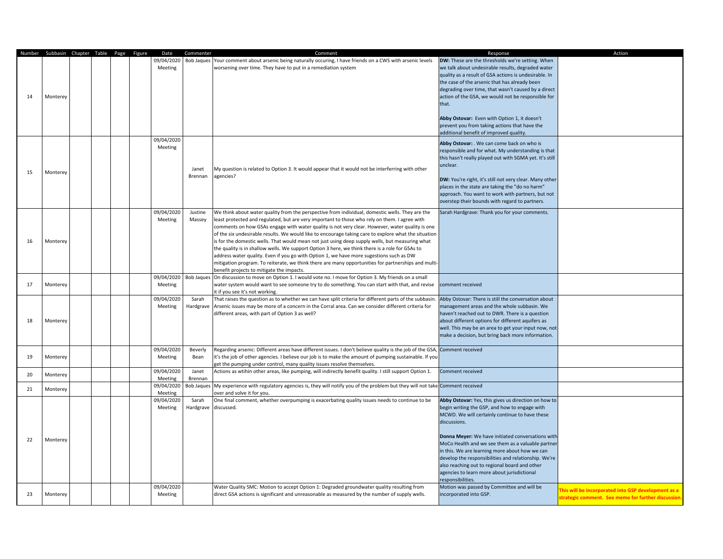| 14 | Number Subbasin Chapter Table Page Figure<br>Monterey |  |  | Date<br>09/04/2020<br>Meeting | Commenter          | Comment<br>Bob Jaques Your comment about arsenic being naturally occuring, I have friends on a CWS with arsenic levels<br>worsening over time. They have to put in a remediation system                                                                                                                                                                                                                                                                                                                                                                                                                                                                                                                                                                                                                                                                          | Response<br>DW: These are the thresholds we're setting. When<br>we talk about undesirable results, degraded water<br>quality as a result of GSA actions is undesirable. In<br>the case of the arsenic that has already been<br>degrading over time, that wasn't caused by a direct<br>action of the GSA, we would not be responsible for<br>that.<br>Abby Ostovar: Even with Option 1, it doesn't<br>prevent you from taking actions that have the<br>additional benefit of improved quality.                    | Action                                                                                                     |
|----|-------------------------------------------------------|--|--|-------------------------------|--------------------|------------------------------------------------------------------------------------------------------------------------------------------------------------------------------------------------------------------------------------------------------------------------------------------------------------------------------------------------------------------------------------------------------------------------------------------------------------------------------------------------------------------------------------------------------------------------------------------------------------------------------------------------------------------------------------------------------------------------------------------------------------------------------------------------------------------------------------------------------------------|------------------------------------------------------------------------------------------------------------------------------------------------------------------------------------------------------------------------------------------------------------------------------------------------------------------------------------------------------------------------------------------------------------------------------------------------------------------------------------------------------------------|------------------------------------------------------------------------------------------------------------|
| 15 | Monterey                                              |  |  | 09/04/2020<br>Meeting         | Janet<br>Brennan   | My question is related to Option 3. It would appear that it would not be interferring with other<br>agencies?                                                                                                                                                                                                                                                                                                                                                                                                                                                                                                                                                                                                                                                                                                                                                    | Abby Ostovar: . We can come back on who is<br>responsible and for what. My understanding is that<br>this hasn't really played out with SGMA yet. It's still<br>unclear.<br>DW: You're right, it's still not very clear. Many other<br>places in the state are taking the "do no harm"<br>approach. You want to work with partners, but not<br>overstep their bounds with regard to partners.                                                                                                                     |                                                                                                            |
| 16 | Monterey                                              |  |  | 09/04/2020<br>Meeting         | Justine<br>Massey  | We think about water quality from the perspective from individual, domestic wells. They are the<br>least protected and regulated, but are very important to those who rely on them. I agree with<br>comments on how GSAs engage with water quality is not very clear. However, water quality is one<br>of the six undesirable results. We would like to encourage taking care to explore what the situation<br>is for the domestic wells. That would mean not just using deep supply wells, but measuring what<br>the quality is in shallow wells. We support Option 3 here, we think there is a role for GSAs to<br>address water quality. Even if you go with Option 1, we have more sugestions such as DW<br>mitigation program. To reiterate, we think there are many opportunities for partnerships and multi-<br>benefit projects to mitigate the impacts. | Sarah Hardgrave: Thank you for your comments.                                                                                                                                                                                                                                                                                                                                                                                                                                                                    |                                                                                                            |
| 17 | Monterey                                              |  |  | 09/04/2020<br>Meeting         |                    | Bob Jaques On discussion to move on Option 1. I would vote no. I move for Option 3. My friends on a small<br>water system would want to see someone try to do something. You can start with that, and revise<br>it if you see it's not working.                                                                                                                                                                                                                                                                                                                                                                                                                                                                                                                                                                                                                  | comment received                                                                                                                                                                                                                                                                                                                                                                                                                                                                                                 |                                                                                                            |
| 18 | Monterey                                              |  |  | 09/04/2020<br>Meeting         | Sarah<br>Hardgrave | That raises the question as to whether we can have split criteria for different parts of the subbasin.<br>Arsenic issues may be more of a concern in the Corral area. Can we consider different criteria for<br>different areas, with part of Option 3 as well?                                                                                                                                                                                                                                                                                                                                                                                                                                                                                                                                                                                                  | Abby Ostovar: There is still the conversation about<br>management areas and the whole subbasin. We<br>haven't reached out to DWR. There is a question<br>about different options for different aquifers as<br>well. This may be an area to get your input now, not<br>make a decision, but bring back more information.                                                                                                                                                                                          |                                                                                                            |
| 19 | Monterey                                              |  |  | 09/04/2020<br>Meeting         | Beverly<br>Bean    | Regarding arsenic: Different areas have different issues. I don't believe quality is the job of the GSA,<br>it's the job of other agencies. I believe our job is to make the amount of pumping sustainable. If you<br>get the pumping under control, many quality issues resolve themselves.                                                                                                                                                                                                                                                                                                                                                                                                                                                                                                                                                                     | Comment received                                                                                                                                                                                                                                                                                                                                                                                                                                                                                                 |                                                                                                            |
| 20 | Monterey                                              |  |  | 09/04/2020<br>Meeting         | Janet<br>Brennan   | Actions as wtihin other areas, like pumping, will indirectly benefit quality. I still support Option 1.                                                                                                                                                                                                                                                                                                                                                                                                                                                                                                                                                                                                                                                                                                                                                          | Comment received                                                                                                                                                                                                                                                                                                                                                                                                                                                                                                 |                                                                                                            |
| 21 | Monterey                                              |  |  | 09/04/2020<br>Meeting         |                    | Bob Jaques My experience with regulatory agencies is, they will notify you of the problem but they will not take Comment received<br>over and solve it for you.                                                                                                                                                                                                                                                                                                                                                                                                                                                                                                                                                                                                                                                                                                  |                                                                                                                                                                                                                                                                                                                                                                                                                                                                                                                  |                                                                                                            |
| 22 | Monterey                                              |  |  | 09/04/2020<br>Meeting         | Sarah<br>Hardgrave | One final comment, whether overpumping is exacerbating quality issues needs to continue to be<br>discussed.                                                                                                                                                                                                                                                                                                                                                                                                                                                                                                                                                                                                                                                                                                                                                      | Abby Ostovar: Yes, this gives us direction on how to<br>begin writing the GSP, and how to engage with<br>MCWD. We will certainly continue to have these<br>discussions.<br>Donna Meyer: We have initiated conversations with<br>MoCo Health and we see them as a valuable partner<br>in this. We are learning more about how we can<br>develop the responsibilities and relationship. We're<br>also reaching out to regional board and other<br>agencies to learn more about jurisdictional<br>responsibilities. |                                                                                                            |
| 23 | Monterey                                              |  |  | 09/04/2020<br>Meeting         |                    | Water Quality SMC: Motion to accept Option 1: Degraded groundwater quality resulting from<br>direct GSA actions is significant and unreasonable as measured by the number of supply wells.                                                                                                                                                                                                                                                                                                                                                                                                                                                                                                                                                                                                                                                                       | Motion was passed by Committee and will be<br>incorporated into GSP.                                                                                                                                                                                                                                                                                                                                                                                                                                             | This will be incorporated into GSP development as a<br>strategic comment. See memo for further discussion. |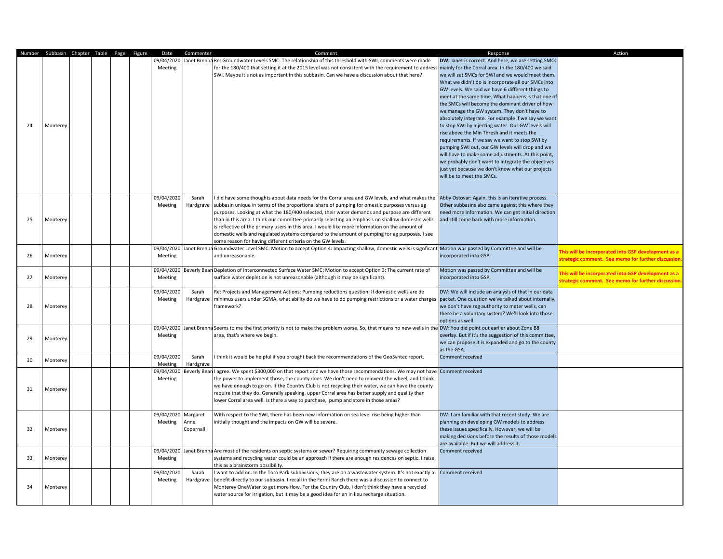|    | Number Subbasin Chapter Table Page Figure |  |  | Date                | Commenter        | Comment                                                                                                                                                              | Response                                               | Action                                              |
|----|-------------------------------------------|--|--|---------------------|------------------|----------------------------------------------------------------------------------------------------------------------------------------------------------------------|--------------------------------------------------------|-----------------------------------------------------|
|    |                                           |  |  |                     |                  | 09/04/2020 Janet Brenna Re: Groundwater Levels SMC: The relationship of this threshold with SWI, comments were made                                                  | DW: Janet is correct. And here, we are setting SMCs    |                                                     |
|    |                                           |  |  | Meeting             |                  | for the 180/400 that setting it at the 2015 level was not consistent with the requirement to address mainly for the Corral area. In the 180/400 we said              |                                                        |                                                     |
|    |                                           |  |  |                     |                  | SWI. Maybe it's not as important in this subbasin. Can we have a discussion about that here?                                                                         | we will set SMCs for SWI and we would meet them.       |                                                     |
|    |                                           |  |  |                     |                  |                                                                                                                                                                      | What we didn't do is incorporate all our SMCs into     |                                                     |
|    |                                           |  |  |                     |                  |                                                                                                                                                                      | GW levels. We said we have 6 different things to       |                                                     |
|    |                                           |  |  |                     |                  |                                                                                                                                                                      | meet at the same time. What happens is that one of     |                                                     |
|    |                                           |  |  |                     |                  |                                                                                                                                                                      | the SMCs will become the dominant driver of how        |                                                     |
|    |                                           |  |  |                     |                  |                                                                                                                                                                      | we manage the GW system. They don't have to            |                                                     |
|    |                                           |  |  |                     |                  |                                                                                                                                                                      | absolutely integrate. For example if we say we want    |                                                     |
| 24 | Monterey                                  |  |  |                     |                  |                                                                                                                                                                      | to stop SWI by injecting water. Our GW levels will     |                                                     |
|    |                                           |  |  |                     |                  |                                                                                                                                                                      | rise above the Min Thresh and it meets the             |                                                     |
|    |                                           |  |  |                     |                  |                                                                                                                                                                      | requirements. If we say we want to stop SWI by         |                                                     |
|    |                                           |  |  |                     |                  |                                                                                                                                                                      | pumping SWI out, our GW levels will drop and we        |                                                     |
|    |                                           |  |  |                     |                  |                                                                                                                                                                      | will have to make some adjustments. At this point,     |                                                     |
|    |                                           |  |  |                     |                  |                                                                                                                                                                      | we probably don't want to integrate the objectives     |                                                     |
|    |                                           |  |  |                     |                  |                                                                                                                                                                      | just yet because we don't know what our projects       |                                                     |
|    |                                           |  |  |                     |                  |                                                                                                                                                                      | will be to meet the SMCs.                              |                                                     |
|    |                                           |  |  |                     |                  |                                                                                                                                                                      |                                                        |                                                     |
|    |                                           |  |  |                     |                  |                                                                                                                                                                      |                                                        |                                                     |
|    |                                           |  |  | 09/04/2020          | Sarah            | I did have some thoughts about data needs for the Corral area and GW levels, and what makes the                                                                      | Abby Ostovar: Again, this is an iterative process.     |                                                     |
|    |                                           |  |  | Meeting             | Hardgrave        | subbasin unique in terms of the proportional share of pumping for omestic purposes versus ag                                                                         | Other subbasins also came against this where they      |                                                     |
|    |                                           |  |  |                     |                  | purposes. Looking at what the 180/400 selected, their water demands and purpose are different                                                                        | need more information. We can get initial direction    |                                                     |
| 25 | Monterey                                  |  |  |                     |                  | than in this area. I think our committee primarily selecting an emphasis on shallow domestic wells                                                                   | and still come back with more information.             |                                                     |
|    |                                           |  |  |                     |                  | is reflective of the primary users in this area. I would like more information on the amount of                                                                      |                                                        |                                                     |
|    |                                           |  |  |                     |                  | domestic wells and regulated systems compared to the amount of pumping for ag purposes. I see                                                                        |                                                        |                                                     |
|    |                                           |  |  |                     |                  | some reason for having different criteria on the GW levels.                                                                                                          |                                                        |                                                     |
|    | Monterey                                  |  |  |                     |                  | 09/04/2020 Janet Brenna Groundwater Level SMC: Motion to accept Option 4: Impacting shallow, domestic wells is signficant Motion was passed by Committee and will be |                                                        | his will be incorporated into GSP development as a  |
| 26 |                                           |  |  | Meeting             |                  | and unreasonable.                                                                                                                                                    | incorporated into GSP.                                 | trategic comment. See memo for further discussion.  |
|    |                                           |  |  |                     |                  | 09/04/2020 Beverly Bean Depletion of Interconnected Surface Water SMC: Motion to accept Option 3: The current rate of                                                | Motion was passed by Committee and will be             |                                                     |
| 27 | Monterey                                  |  |  | Meeting             |                  | surface water depletion is not unreasonable (although it may be significant).                                                                                        | incorporated into GSP.                                 | his will be incorporated into GSP development as a  |
|    |                                           |  |  |                     |                  |                                                                                                                                                                      |                                                        | strategic comment. See memo for further discussion. |
|    |                                           |  |  | 09/04/2020          | Sarah            | Re: Projects and Management Actions: Pumping reductions question: If domestic wells are de                                                                           | DW: We will include an analysis of that in our data    |                                                     |
|    |                                           |  |  | Meeting             | Hardgrave        | minimus users under SGMA, what ability do we have to do pumping restrictions or a water charges packet. One question we've talked about internally,                  |                                                        |                                                     |
| 28 | Monterey                                  |  |  |                     |                  | framework?                                                                                                                                                           | we don't have reg authority to meter wells, can        |                                                     |
|    |                                           |  |  |                     |                  |                                                                                                                                                                      | there be a voluntary system? We'll look into those     |                                                     |
|    |                                           |  |  |                     |                  |                                                                                                                                                                      | options as well.                                       |                                                     |
|    |                                           |  |  | 09/04/2020          |                  | Janet Brenna Seems to me the first priority is not to make the problem worse. So, that means no new wells in the DW: You did point out earlier about Zone B8         |                                                        |                                                     |
| 29 | Monterey                                  |  |  | Meeting             |                  | area, that's where we begin.                                                                                                                                         | overlay. But if it's the suggestion of this committee, |                                                     |
|    |                                           |  |  |                     |                  |                                                                                                                                                                      | we can propose it is expanded and go to the county     |                                                     |
|    |                                           |  |  |                     |                  |                                                                                                                                                                      | as the GSA.                                            |                                                     |
| 30 | Monterey                                  |  |  | 09/04/2020          | Sarah            | I think it would be helpful if you brought back the recommendations of the GeoSyntec report.                                                                         | <b>Comment received</b>                                |                                                     |
|    |                                           |  |  | Meeting             | <b>Hardgrave</b> |                                                                                                                                                                      |                                                        |                                                     |
|    |                                           |  |  | 09/04/2020          |                  | Beverly Beanl agree. We spent \$300,000 on that report and we have those recommendations. We may not have                                                            | Comment received                                       |                                                     |
|    |                                           |  |  | Meeting             |                  | the power to implement those, the county does. We don't need to reinvent the wheel, and I think                                                                      |                                                        |                                                     |
| 31 | Monterey                                  |  |  |                     |                  | we have enough to go on. If the Country Club is not recycling their water, we can have the county                                                                    |                                                        |                                                     |
|    |                                           |  |  |                     |                  | require that they do. Generally speaking, upper Corral area has better supply and quality than                                                                       |                                                        |                                                     |
|    |                                           |  |  |                     |                  | lower Corral area well. Is there a way to purchase, pump and store in those areas?                                                                                   |                                                        |                                                     |
|    |                                           |  |  | 09/04/2020 Margaret |                  | With respect to the SWI, there has been new information on sea level rise being higher than                                                                          | DW: I am familiar with that recent study. We are       |                                                     |
|    |                                           |  |  | Meeting             | Anne             | initially thought and the impacts on GW will be severe.                                                                                                              | planning on developing GW models to address            |                                                     |
| 32 | Monterey                                  |  |  |                     | Copernall        |                                                                                                                                                                      | these issues specifically. However, we will be         |                                                     |
|    |                                           |  |  |                     |                  |                                                                                                                                                                      | making decisions before the results of those models    |                                                     |
|    |                                           |  |  |                     |                  |                                                                                                                                                                      | are available. But we will address it.                 |                                                     |
|    |                                           |  |  | 09/04/2020          |                  | Janet Brenna Are most of the residents on septic systems or sewer? Requiring community sewage collection                                                             | Comment received                                       |                                                     |
| 33 | Monterey                                  |  |  | Meeting             |                  | systems and recycling water could be an approach if there are enough residences on septic. I raise                                                                   |                                                        |                                                     |
|    |                                           |  |  |                     |                  | this as a brainstorm possibility.                                                                                                                                    |                                                        |                                                     |
|    |                                           |  |  | 09/04/2020          | Sarah            | I want to add on. In the Toro Park subdivisions, they are on a wastewater system. It's not exactly a                                                                 | Comment received                                       |                                                     |
|    |                                           |  |  | Meeting             | Hardgrave        | benefit directly to our subbasin. I recall in the Ferini Ranch there was a discussion to connect to                                                                  |                                                        |                                                     |
| 34 | Monterey                                  |  |  |                     |                  | Monterey OneWater to get more flow. For the Country Club, I don't think they have a recycled                                                                         |                                                        |                                                     |
|    |                                           |  |  |                     |                  | water source for irrigation, but it may be a good idea for an in lieu recharge situation.                                                                            |                                                        |                                                     |
|    |                                           |  |  |                     |                  |                                                                                                                                                                      |                                                        |                                                     |
|    |                                           |  |  |                     |                  |                                                                                                                                                                      |                                                        |                                                     |